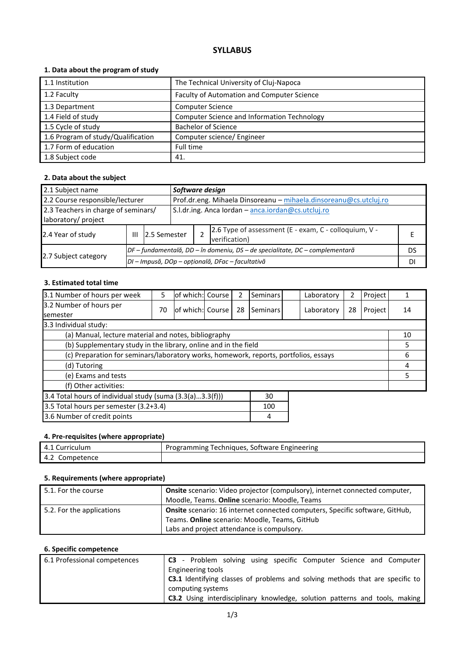# **SYLLABUS**

# **1. Data about the program of study**

| 1.1 Institution                    | The Technical University of Cluj-Napoca     |
|------------------------------------|---------------------------------------------|
|                                    |                                             |
| 1.2 Faculty                        | Faculty of Automation and Computer Science  |
| 1.3 Department                     | <b>Computer Science</b>                     |
| 1.4 Field of study                 | Computer Science and Information Technology |
| 1.5 Cycle of study                 | <b>Bachelor of Science</b>                  |
| 1.6 Program of study/Qualification | Computer science/ Engineer                  |
| 1.7 Form of education              | Full time                                   |
| 1.8 Subject code                   | 41.                                         |

# **2. Data about the subject**

| 2.1 Subject name                                           |   |                                                  |                                                                              | Software design                                                        |  |  |  |  |
|------------------------------------------------------------|---|--------------------------------------------------|------------------------------------------------------------------------------|------------------------------------------------------------------------|--|--|--|--|
| 2.2 Course responsible/lecturer                            |   |                                                  | Prof.dr.eng. Mihaela Dinsoreanu - mihaela.dinsoreanu@cs.utcluj.ro            |                                                                        |  |  |  |  |
| 2.3 Teachers in charge of seminars/<br>laboratory/ project |   |                                                  | S.I.dr.ing. Anca lordan - anca.iordan@cs.utcluj.ro                           |                                                                        |  |  |  |  |
| 2.4 Year of study                                          | Ш | 2.5 Semester                                     |                                                                              | 2.6 Type of assessment (E - exam, C - colloquium, V -<br>verification) |  |  |  |  |
|                                                            |   |                                                  | DF – fundamentală, DD – în domeniu, DS – de specialitate, DC – complementară |                                                                        |  |  |  |  |
| 2.7 Subject category                                       |   | DI - Impusă, DOp - opțională, DFac - facultativă |                                                                              |                                                                        |  |  |  |  |

#### **3. Estimated total time**

| 3.1 Number of hours per week                                                         | 5  | of which: Course |  | 2  | <b>Seminars</b> |  | Laboratory | 2  | Project |    |
|--------------------------------------------------------------------------------------|----|------------------|--|----|-----------------|--|------------|----|---------|----|
| 3.2 Number of hours per<br><b>semester</b>                                           | 70 | of which: Course |  | 28 | Seminars        |  | Laboratory | 28 | Project | 14 |
| 3.3 Individual study:                                                                |    |                  |  |    |                 |  |            |    |         |    |
| (a) Manual, lecture material and notes, bibliography                                 |    |                  |  |    |                 |  |            |    |         | 10 |
| (b) Supplementary study in the library, online and in the field                      |    |                  |  |    |                 |  |            |    |         | 5  |
| (c) Preparation for seminars/laboratory works, homework, reports, portfolios, essays |    |                  |  |    |                 |  |            |    |         | 6  |
| (d) Tutoring                                                                         |    |                  |  |    |                 |  | 4          |    |         |    |
| (e) Exams and tests                                                                  |    |                  |  |    |                 |  |            |    |         | 5  |
| (f) Other activities:                                                                |    |                  |  |    |                 |  |            |    |         |    |
| 3.4 Total hours of individual study (suma (3.3(a)3.3(f)))<br>30                      |    |                  |  |    |                 |  |            |    |         |    |
| 3.5 Total hours per semester (3.2+3.4)                                               |    |                  |  |    | 100             |  |            |    |         |    |
| 3.6 Number of credit points                                                          |    |                  |  |    | 4               |  |            |    |         |    |

# **4. Pre-requisites (where appropriate)**

| riculum<br>Curr.<br>4.1 | Programming<br>Engineering<br>Techniques.<br>Software |
|-------------------------|-------------------------------------------------------|
| 4.2<br>Competence       |                                                       |

# **5. Requirements (where appropriate)**

| 5.1. For the course       | Onsite scenario: Video projector (compulsory), internet connected computer,<br>Moodle, Teams. Online scenario: Moodle, Teams |
|---------------------------|------------------------------------------------------------------------------------------------------------------------------|
| 5.2. For the applications | <b>Onsite</b> scenario: 16 internet connected computers, Specific software, GitHub,                                          |
|                           | Teams. Online scenario: Moodle, Teams, GitHub                                                                                |
|                           | Labs and project attendance is compulsory.                                                                                   |

# **6. Specific competence**

| 6.1 Professional competences |                   |  |  |  | <b>C3</b> - Problem solving using specific Computer Science and Computer             |
|------------------------------|-------------------|--|--|--|--------------------------------------------------------------------------------------|
|                              | Engineering tools |  |  |  |                                                                                      |
|                              |                   |  |  |  | <b>C3.1</b> Identifying classes of problems and solving methods that are specific to |
|                              | computing systems |  |  |  |                                                                                      |
|                              |                   |  |  |  | <b>C3.2</b> Using interdisciplinary knowledge, solution patterns and tools, making   |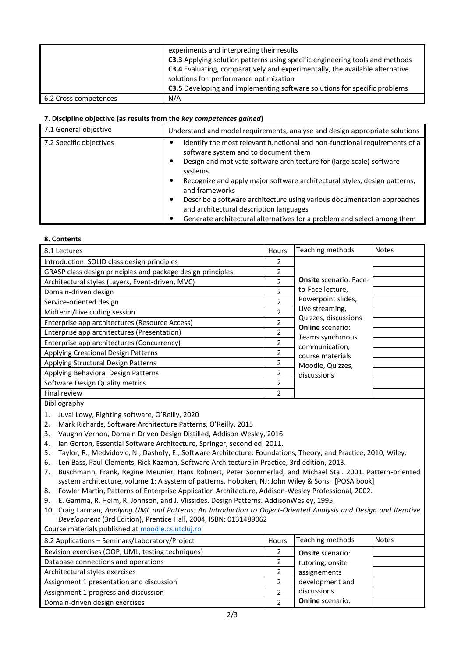|                       | experiments and interpreting their results<br><b>C3.3</b> Applying solution patterns using specific engineering tools and methods<br><b>C3.4</b> Evaluating, comparatively and experimentally, the available alternative<br>solutions for performance optimization<br><b>C3.5</b> Developing and implementing software solutions for specific problems |
|-----------------------|--------------------------------------------------------------------------------------------------------------------------------------------------------------------------------------------------------------------------------------------------------------------------------------------------------------------------------------------------------|
| 6.2 Cross competences | N/A                                                                                                                                                                                                                                                                                                                                                    |

#### **7. Discipline objective (as results from the** *key competences gained***)**

| 7.1 General objective   | Understand and model requirements, analyse and design appropriate solutions                                             |
|-------------------------|-------------------------------------------------------------------------------------------------------------------------|
| 7.2 Specific objectives | Identify the most relevant functional and non-functional requirements of a<br>software system and to document them      |
|                         | Design and motivate software architecture for (large scale) software<br>٠<br>systems                                    |
|                         | Recognize and apply major software architectural styles, design patterns,<br>٠<br>and frameworks                        |
|                         | Describe a software architecture using various documentation approaches<br>٠<br>and architectural description languages |
|                         | Generate architectural alternatives for a problem and select among them<br>٠                                            |

#### **8. Contents**

| 8.1 Lectures                                                | Hours                    | Teaching methods                                | <b>Notes</b> |
|-------------------------------------------------------------|--------------------------|-------------------------------------------------|--------------|
| Introduction. SOLID class design principles                 | 2                        |                                                 |              |
| GRASP class design principles and package design principles |                          |                                                 |              |
| Architectural styles (Layers, Event-driven, MVC)            | $\overline{\phantom{a}}$ | <b>Onsite</b> scenario: Face-                   |              |
| Domain-driven design                                        | $\overline{\phantom{a}}$ | to-Face lecture,                                |              |
| Service-oriented design                                     | 2                        | Powerpoint slides,                              |              |
| Midterm/Live coding session                                 | $\mathcal{P}$            | Live streaming,                                 |              |
| Enterprise app architectures (Resource Access)              |                          | Quizzes, discussions<br><b>Online</b> scenario: |              |
| Enterprise app architectures (Presentation)                 | 2                        | Teams synchrnous                                |              |
| Enterprise app architectures (Concurrency)                  | 2                        | communication,                                  |              |
| Applying Creational Design Patterns                         | 2                        | course materials                                |              |
| Applying Structural Design Patterns                         | 2                        | Moodle, Quizzes,                                |              |
| Applying Behavioral Design Patterns                         | 2                        | discussions                                     |              |
| Software Design Quality metrics                             | $\mathfrak{p}$           |                                                 |              |
| Final review                                                | 2                        |                                                 |              |

Bibliography

1. Juval Lowy, Righting software, O'Reilly, 2020

2. Mark Richards, Software Architecture Patterns, O'Reilly, 2015

- 3. Vaughn Vernon, Domain Driven Design Distilled, Addison Wesley, 2016
- 4. Ian Gorton, Essential Software Architecture, Springer, second ed. 2011.
- 5. Taylor, R., Medvidovic, N., Dashofy, E., Software Architecture: Foundations, Theory, and Practice, 2010, Wiley.
- 6. Len Bass, Paul Clements, Rick Kazman, Software Architecture in Practice, 3rd edition, 2013.
- 7. Buschmann, Frank, Regine Meunier, Hans Rohnert, Peter Sornmerlad, and Michael Stal. 2001. Pattern-oriented system architecture, volume 1: A system of patterns. Hoboken, NJ: John Wiley & Sons. [POSA book]
- 8. Fowler Martin, Patterns of Enterprise Application Architecture, Addison-Wesley Professional, 2002.
- 9. E. Gamma, R. Helm, R. Johnson, and J. Vlissides. Design Patterns. AddisonWesley, 1995.
- 10. Craig Larman, *Applying UML and Patterns: An Introduction to Object-Oriented Analysis and Design and Iterative Development* (3rd Edition), Prentice Hall, 2004, ISBN: 0131489062

Course materials published at moodle.cs.utcluj.ro

| 8.2 Applications - Seminars/Laboratory/Project    | Hours | Teaching methods        | <b>Notes</b> |
|---------------------------------------------------|-------|-------------------------|--------------|
| Revision exercises (OOP, UML, testing techniques) | 2     | <b>Onsite scenario:</b> |              |
| Database connections and operations               |       | tutoring, onsite        |              |
| Architectural styles exercises                    |       | assignements            |              |
| Assignment 1 presentation and discussion          |       | development and         |              |
| Assignment 1 progress and discussion              |       | discussions             |              |
| Domain-driven design exercises                    |       | <b>Online</b> scenario: |              |